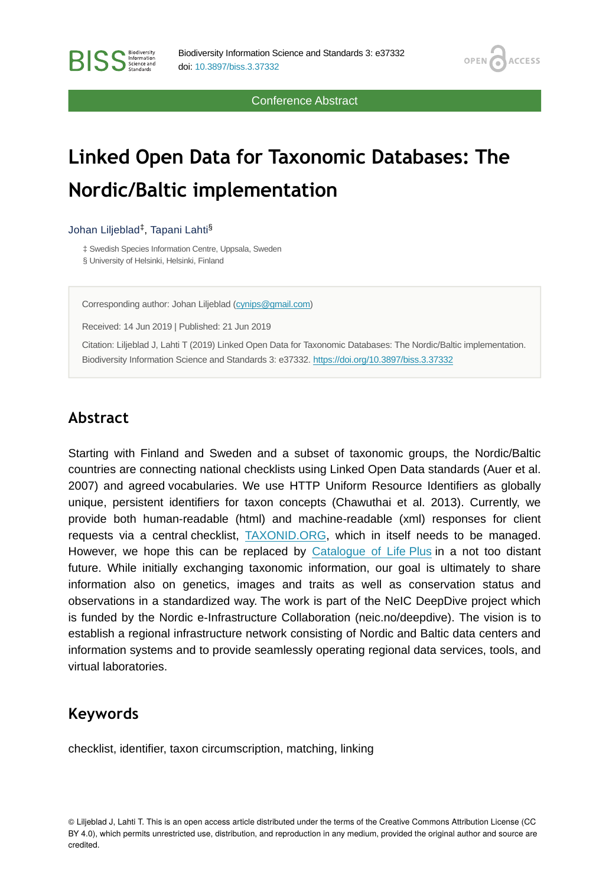Conference Abstract

OPEN G

**ACCESS** 

# **Linked Open Data for Taxonomic Databases: The Nordic/Baltic implementation**

#### Johan Liljeblad<sup>‡</sup>, Tapani Lahti<sup>§</sup>

**BISS** Steince and

‡ Swedish Species Information Centre, Uppsala, Sweden § University of Helsinki, Helsinki, Finland

Corresponding author: Johan Liljeblad [\(cynips@gmail.com\)](mailto:cynips@gmail.com)

Received: 14 Jun 2019 | Published: 21 Jun 2019

Citation: Liljeblad J, Lahti T (2019) Linked Open Data for Taxonomic Databases: The Nordic/Baltic implementation. Biodiversity Information Science and Standards 3: e37332.<https://doi.org/10.3897/biss.3.37332>

#### **Abstract**

Starting with Finland and Sweden and a subset of taxonomic groups, the Nordic/Baltic countries are connecting national checklists using Linked Open Data standards (Auer et al. 2007) and agreed vocabularies. We use HTTP Uniform Resource Identifiers as globally unique, persistent identifiers for taxon concepts (Chawuthai et al. 2013). Currently, we provide both human-readable (html) and machine-readable (xml) responses for client requests via a central checklist, [TAXONID.ORG](http://taxonid.org/), which in itself needs to be managed. However, we hope this can be replaced by [Catalogue of Life Plus](https://github.com/Sp2000/colplus) in a not too distant future. While initially exchanging taxonomic information, our goal is ultimately to share information also on genetics, images and traits as well as conservation status and observations in a standardized way. The work is part of the NeIC DeepDive project which is funded by the Nordic e-Infrastructure Collaboration (neic.no/deepdive). The vision is to establish a regional infrastructure network consisting of Nordic and Baltic data centers and information systems and to provide seamlessly operating regional data services, tools, and virtual laboratories.

### **Keywords**

checklist, identifier, taxon circumscription, matching, linking

© Liljeblad J, Lahti T. This is an open access article distributed under the terms of the Creative Commons Attribution License (CC BY 4.0), which permits unrestricted use, distribution, and reproduction in any medium, provided the original author and source are credited.